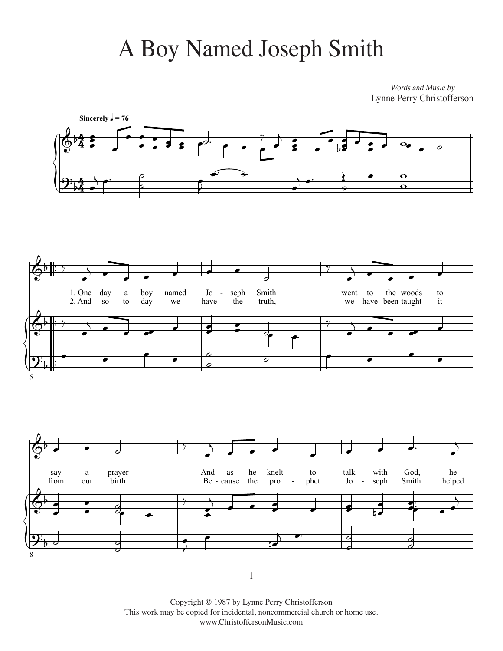## A Boy Named Joseph Smith

*Words and Music by* Words and Music by Lynne Perry Christoffersen Lynne Perry Christofferson







 $\mathbf 1$ 987 by Lynne Perry Christoffersen  $\mathbf 1$ 1

Copyright © 1987 by Lynne Perry Christofferson This work may be copied for incidental, noncommercial church or home use. www.ChristoffersonMusic.com